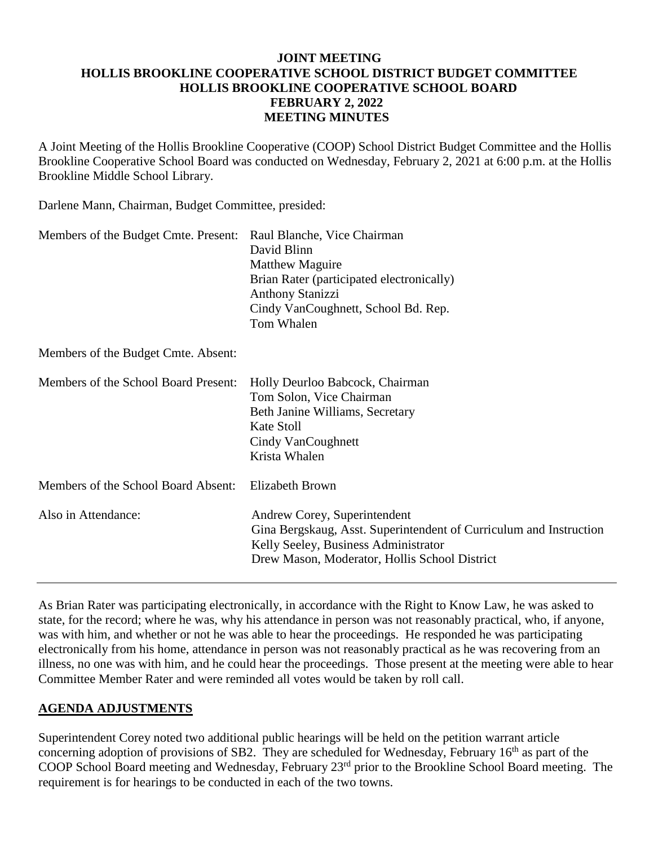### **JOINT MEETING HOLLIS BROOKLINE COOPERATIVE SCHOOL DISTRICT BUDGET COMMITTEE HOLLIS BROOKLINE COOPERATIVE SCHOOL BOARD FEBRUARY 2, 2022 MEETING MINUTES**

A Joint Meeting of the Hollis Brookline Cooperative (COOP) School District Budget Committee and the Hollis Brookline Cooperative School Board was conducted on Wednesday, February 2, 2021 at 6:00 p.m. at the Hollis Brookline Middle School Library.

Darlene Mann, Chairman, Budget Committee, presided:

| Members of the Budget Cmte. Present: Raul Blanche, Vice Chairman | David Blinn<br><b>Matthew Maguire</b><br>Brian Rater (participated electronically)<br><b>Anthony Stanizzi</b><br>Cindy VanCoughnett, School Bd. Rep.<br>Tom Whalen                          |
|------------------------------------------------------------------|---------------------------------------------------------------------------------------------------------------------------------------------------------------------------------------------|
| Members of the Budget Cmte. Absent:                              |                                                                                                                                                                                             |
| Members of the School Board Present:                             | Holly Deurloo Babcock, Chairman<br>Tom Solon, Vice Chairman<br>Beth Janine Williams, Secretary<br>Kate Stoll<br>Cindy VanCoughnett<br>Krista Whalen                                         |
| Members of the School Board Absent:                              | Elizabeth Brown                                                                                                                                                                             |
| Also in Attendance:                                              | Andrew Corey, Superintendent<br>Gina Bergskaug, Asst. Superintendent of Curriculum and Instruction<br>Kelly Seeley, Business Administrator<br>Drew Mason, Moderator, Hollis School District |

As Brian Rater was participating electronically, in accordance with the Right to Know Law, he was asked to state, for the record; where he was, why his attendance in person was not reasonably practical, who, if anyone, was with him, and whether or not he was able to hear the proceedings. He responded he was participating electronically from his home, attendance in person was not reasonably practical as he was recovering from an illness, no one was with him, and he could hear the proceedings. Those present at the meeting were able to hear Committee Member Rater and were reminded all votes would be taken by roll call.

# **AGENDA ADJUSTMENTS**

Superintendent Corey noted two additional public hearings will be held on the petition warrant article concerning adoption of provisions of SB2. They are scheduled for Wednesday, February  $16<sup>th</sup>$  as part of the COOP School Board meeting and Wednesday, February 23rd prior to the Brookline School Board meeting. The requirement is for hearings to be conducted in each of the two towns.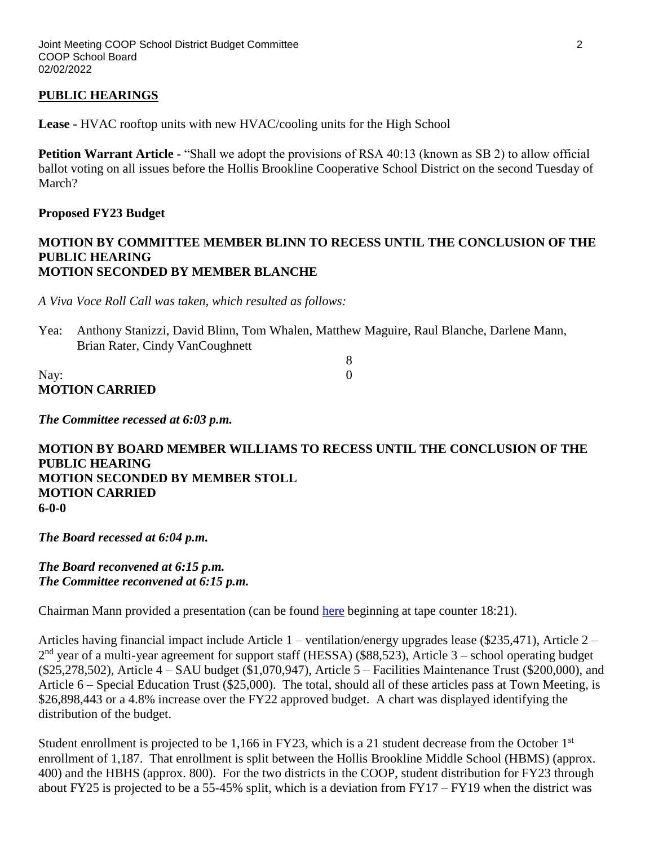### **PUBLIC HEARINGS**

**Lease -** HVAC rooftop units with new HVAC/cooling units for the High School

**Petition Warrant Article -** "Shall we adopt the provisions of RSA 40:13 (known as SB 2) to allow official ballot voting on all issues before the Hollis Brookline Cooperative School District on the second Tuesday of March?

#### **Proposed FY23 Budget**

#### **MOTION BY COMMITTEE MEMBER BLINN TO RECESS UNTIL THE CONCLUSION OF THE PUBLIC HEARING MOTION SECONDED BY MEMBER BLANCHE**

*A Viva Voce Roll Call was taken, which resulted as follows:*

Yea: Anthony Stanizzi, David Blinn, Tom Whalen, Matthew Maguire, Raul Blanche, Darlene Mann, Brian Rater, Cindy VanCoughnett

| Nay:                  |  |
|-----------------------|--|
| <b>MOTION CARRIED</b> |  |

*The Committee recessed at 6:03 p.m.*

**MOTION BY BOARD MEMBER WILLIAMS TO RECESS UNTIL THE CONCLUSION OF THE PUBLIC HEARING MOTION SECONDED BY MEMBER STOLL MOTION CARRIED 6-0-0**

*The Board recessed at 6:04 p.m.*

*The Board reconvened at 6:15 p.m. The Committee reconvened at 6:15 p.m.*

Chairman Mann provided a presentation (can be found [here](https://www.youtube.com/watch?v=Fck8gXft2iI) beginning at tape counter 18:21).

Articles having financial impact include Article 1 – ventilation/energy upgrades lease (\$235,471), Article 2 –  $2<sup>nd</sup>$  year of a multi-year agreement for support staff (HESSA) (\$88,523), Article 3 – school operating budget (\$25,278,502), Article 4 – SAU budget (\$1,070,947), Article 5 – Facilities Maintenance Trust (\$200,000), and Article 6 – Special Education Trust (\$25,000). The total, should all of these articles pass at Town Meeting, is \$26,898,443 or a 4.8% increase over the FY22 approved budget. A chart was displayed identifying the distribution of the budget.

Student enrollment is projected to be 1,166 in FY23, which is a 21 student decrease from the October 1<sup>st</sup> enrollment of 1,187. That enrollment is split between the Hollis Brookline Middle School (HBMS) (approx. 400) and the HBHS (approx. 800). For the two districts in the COOP, student distribution for FY23 through about FY25 is projected to be a 55-45% split, which is a deviation from FY17 – FY19 when the district was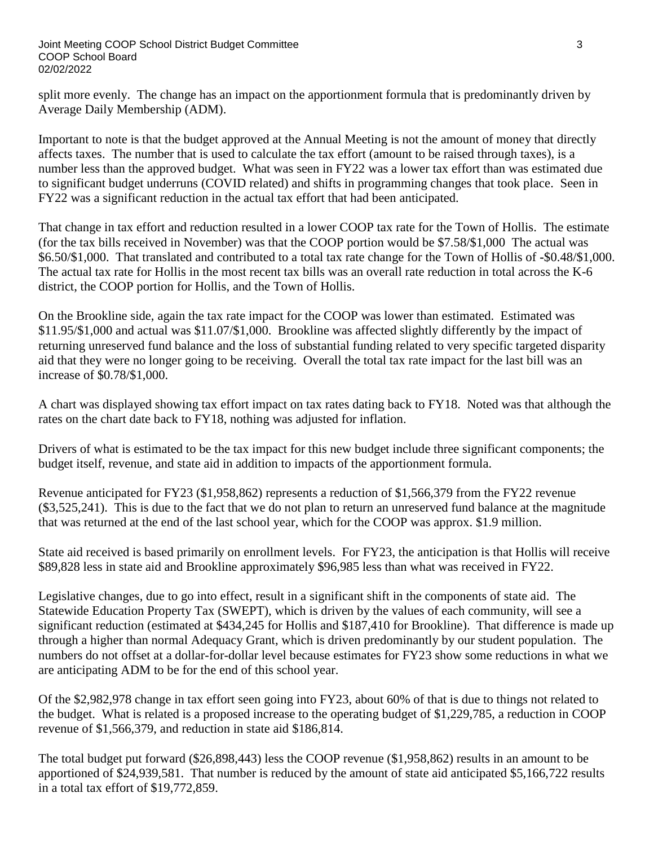split more evenly. The change has an impact on the apportionment formula that is predominantly driven by Average Daily Membership (ADM).

Important to note is that the budget approved at the Annual Meeting is not the amount of money that directly affects taxes. The number that is used to calculate the tax effort (amount to be raised through taxes), is a number less than the approved budget. What was seen in FY22 was a lower tax effort than was estimated due to significant budget underruns (COVID related) and shifts in programming changes that took place. Seen in FY22 was a significant reduction in the actual tax effort that had been anticipated.

That change in tax effort and reduction resulted in a lower COOP tax rate for the Town of Hollis. The estimate (for the tax bills received in November) was that the COOP portion would be \$7.58/\$1,000 The actual was \$6.50/\$1,000. That translated and contributed to a total tax rate change for the Town of Hollis of **-**\$0.48/\$1,000. The actual tax rate for Hollis in the most recent tax bills was an overall rate reduction in total across the K-6 district, the COOP portion for Hollis, and the Town of Hollis.

On the Brookline side, again the tax rate impact for the COOP was lower than estimated. Estimated was \$11.95/\$1,000 and actual was \$11.07/\$1,000. Brookline was affected slightly differently by the impact of returning unreserved fund balance and the loss of substantial funding related to very specific targeted disparity aid that they were no longer going to be receiving. Overall the total tax rate impact for the last bill was an increase of \$0.78/\$1,000.

A chart was displayed showing tax effort impact on tax rates dating back to FY18. Noted was that although the rates on the chart date back to FY18, nothing was adjusted for inflation.

Drivers of what is estimated to be the tax impact for this new budget include three significant components; the budget itself, revenue, and state aid in addition to impacts of the apportionment formula.

Revenue anticipated for FY23 (\$1,958,862) represents a reduction of \$1,566,379 from the FY22 revenue (\$3,525,241). This is due to the fact that we do not plan to return an unreserved fund balance at the magnitude that was returned at the end of the last school year, which for the COOP was approx. \$1.9 million.

State aid received is based primarily on enrollment levels. For FY23, the anticipation is that Hollis will receive \$89,828 less in state aid and Brookline approximately \$96,985 less than what was received in FY22.

Legislative changes, due to go into effect, result in a significant shift in the components of state aid. The Statewide Education Property Tax (SWEPT), which is driven by the values of each community, will see a significant reduction (estimated at \$434,245 for Hollis and \$187,410 for Brookline). That difference is made up through a higher than normal Adequacy Grant, which is driven predominantly by our student population. The numbers do not offset at a dollar-for-dollar level because estimates for FY23 show some reductions in what we are anticipating ADM to be for the end of this school year.

Of the \$2,982,978 change in tax effort seen going into FY23, about 60% of that is due to things not related to the budget. What is related is a proposed increase to the operating budget of \$1,229,785, a reduction in COOP revenue of \$1,566,379, and reduction in state aid \$186,814.

The total budget put forward (\$26,898,443) less the COOP revenue (\$1,958,862) results in an amount to be apportioned of \$24,939,581. That number is reduced by the amount of state aid anticipated \$5,166,722 results in a total tax effort of \$19,772,859.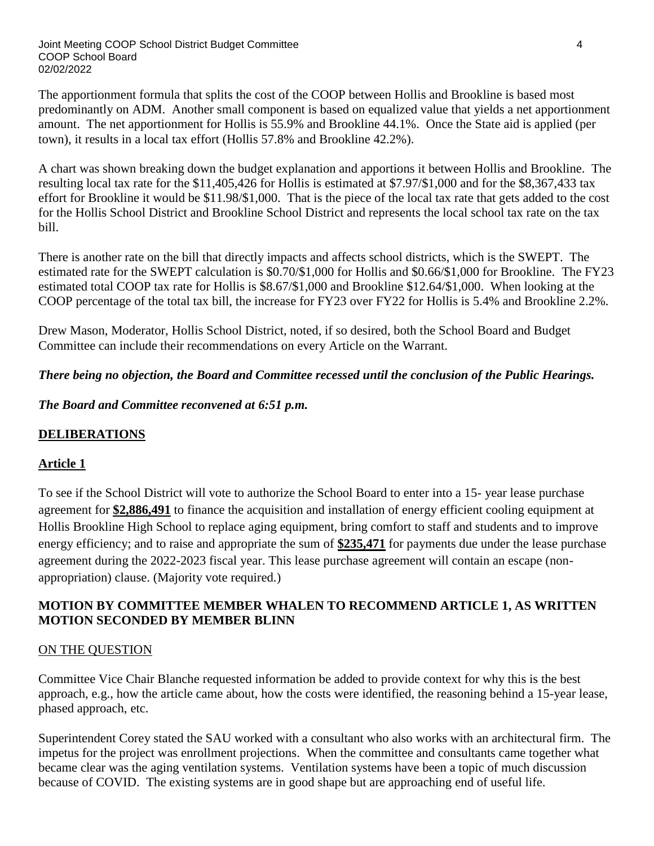The apportionment formula that splits the cost of the COOP between Hollis and Brookline is based most predominantly on ADM. Another small component is based on equalized value that yields a net apportionment amount. The net apportionment for Hollis is 55.9% and Brookline 44.1%. Once the State aid is applied (per town), it results in a local tax effort (Hollis 57.8% and Brookline 42.2%).

A chart was shown breaking down the budget explanation and apportions it between Hollis and Brookline. The resulting local tax rate for the \$11,405,426 for Hollis is estimated at \$7.97/\$1,000 and for the \$8,367,433 tax effort for Brookline it would be \$11.98/\$1,000. That is the piece of the local tax rate that gets added to the cost for the Hollis School District and Brookline School District and represents the local school tax rate on the tax bill.

There is another rate on the bill that directly impacts and affects school districts, which is the SWEPT. The estimated rate for the SWEPT calculation is \$0.70/\$1,000 for Hollis and \$0.66/\$1,000 for Brookline. The FY23 estimated total COOP tax rate for Hollis is \$8.67/\$1,000 and Brookline \$12.64/\$1,000. When looking at the COOP percentage of the total tax bill, the increase for FY23 over FY22 for Hollis is 5.4% and Brookline 2.2%.

Drew Mason, Moderator, Hollis School District, noted, if so desired, both the School Board and Budget Committee can include their recommendations on every Article on the Warrant.

*There being no objection, the Board and Committee recessed until the conclusion of the Public Hearings.*

*The Board and Committee reconvened at 6:51 p.m.*

# **DELIBERATIONS**

# **Article 1**

To see if the School District will vote to authorize the School Board to enter into a 15- year lease purchase agreement for **\$2,886,491** to finance the acquisition and installation of energy efficient cooling equipment at Hollis Brookline High School to replace aging equipment, bring comfort to staff and students and to improve energy efficiency; and to raise and appropriate the sum of **\$235,471** for payments due under the lease purchase agreement during the 2022-2023 fiscal year. This lease purchase agreement will contain an escape (nonappropriation) clause. (Majority vote required.)

# **MOTION BY COMMITTEE MEMBER WHALEN TO RECOMMEND ARTICLE 1, AS WRITTEN MOTION SECONDED BY MEMBER BLINN**

# ON THE QUESTION

Committee Vice Chair Blanche requested information be added to provide context for why this is the best approach, e.g., how the article came about, how the costs were identified, the reasoning behind a 15-year lease, phased approach, etc.

Superintendent Corey stated the SAU worked with a consultant who also works with an architectural firm. The impetus for the project was enrollment projections. When the committee and consultants came together what became clear was the aging ventilation systems. Ventilation systems have been a topic of much discussion because of COVID. The existing systems are in good shape but are approaching end of useful life.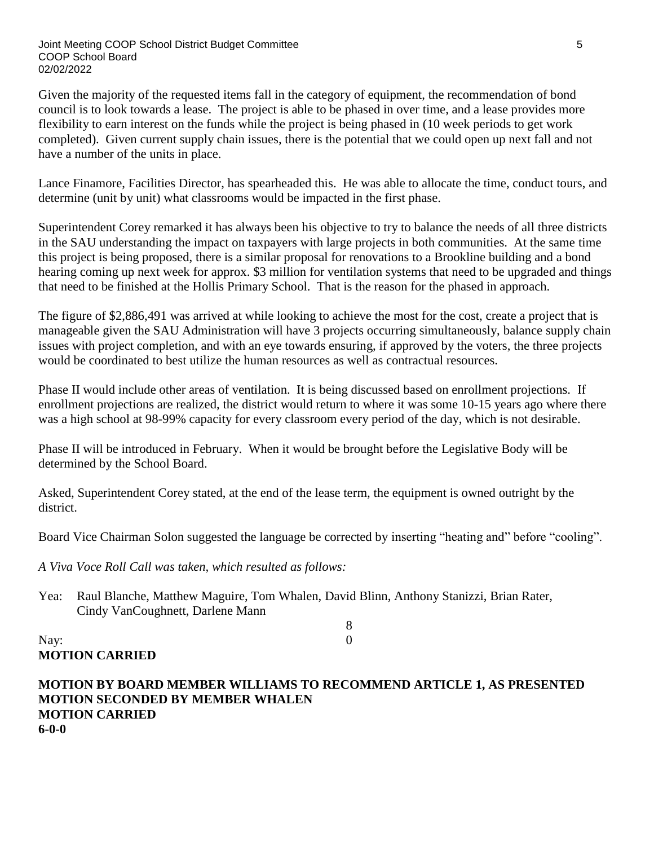Given the majority of the requested items fall in the category of equipment, the recommendation of bond council is to look towards a lease. The project is able to be phased in over time, and a lease provides more flexibility to earn interest on the funds while the project is being phased in (10 week periods to get work completed). Given current supply chain issues, there is the potential that we could open up next fall and not have a number of the units in place.

Lance Finamore, Facilities Director, has spearheaded this. He was able to allocate the time, conduct tours, and determine (unit by unit) what classrooms would be impacted in the first phase.

Superintendent Corey remarked it has always been his objective to try to balance the needs of all three districts in the SAU understanding the impact on taxpayers with large projects in both communities. At the same time this project is being proposed, there is a similar proposal for renovations to a Brookline building and a bond hearing coming up next week for approx. \$3 million for ventilation systems that need to be upgraded and things that need to be finished at the Hollis Primary School. That is the reason for the phased in approach.

The figure of \$2,886,491 was arrived at while looking to achieve the most for the cost, create a project that is manageable given the SAU Administration will have 3 projects occurring simultaneously, balance supply chain issues with project completion, and with an eye towards ensuring, if approved by the voters, the three projects would be coordinated to best utilize the human resources as well as contractual resources.

Phase II would include other areas of ventilation. It is being discussed based on enrollment projections. If enrollment projections are realized, the district would return to where it was some 10-15 years ago where there was a high school at 98-99% capacity for every classroom every period of the day, which is not desirable.

Phase II will be introduced in February. When it would be brought before the Legislative Body will be determined by the School Board.

Asked, Superintendent Corey stated, at the end of the lease term, the equipment is owned outright by the district.

Board Vice Chairman Solon suggested the language be corrected by inserting "heating and" before "cooling".

8

*A Viva Voce Roll Call was taken, which resulted as follows:*

Yea: Raul Blanche, Matthew Maguire, Tom Whalen, David Blinn, Anthony Stanizzi, Brian Rater, Cindy VanCoughnett, Darlene Mann

Nay: 0 **MOTION CARRIED**

**MOTION BY BOARD MEMBER WILLIAMS TO RECOMMEND ARTICLE 1, AS PRESENTED MOTION SECONDED BY MEMBER WHALEN MOTION CARRIED 6-0-0**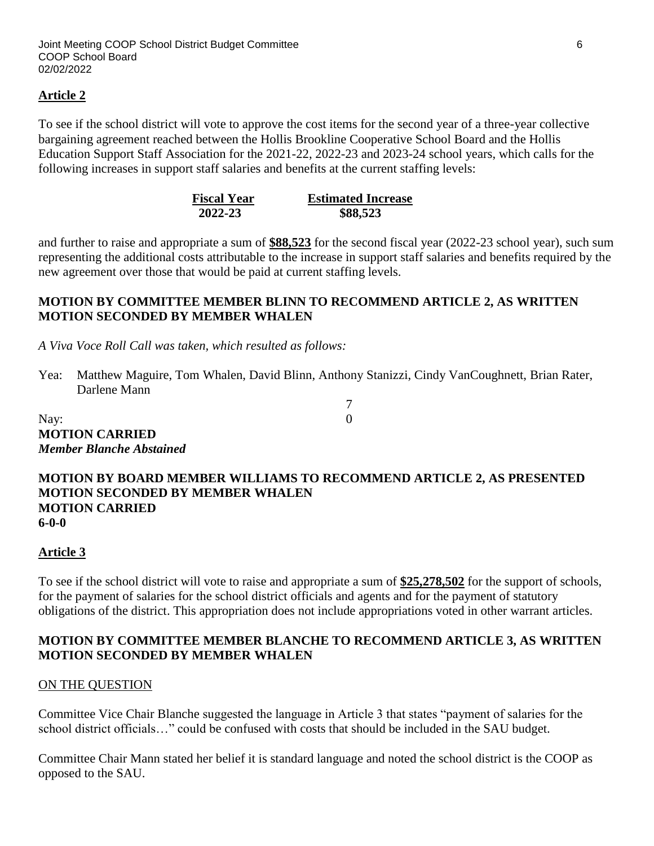### **Article 2**

To see if the school district will vote to approve the cost items for the second year of a three-year collective bargaining agreement reached between the Hollis Brookline Cooperative School Board and the Hollis Education Support Staff Association for the 2021-22, 2022-23 and 2023-24 school years, which calls for the following increases in support staff salaries and benefits at the current staffing levels:

| <b>Fiscal Year</b> | <b>Estimated Increase</b> |
|--------------------|---------------------------|
| 2022-23            | \$88,523                  |

and further to raise and appropriate a sum of **\$88,523** for the second fiscal year (2022-23 school year), such sum representing the additional costs attributable to the increase in support staff salaries and benefits required by the new agreement over those that would be paid at current staffing levels.

### **MOTION BY COMMITTEE MEMBER BLINN TO RECOMMEND ARTICLE 2, AS WRITTEN MOTION SECONDED BY MEMBER WHALEN**

*A Viva Voce Roll Call was taken, which resulted as follows:*

Yea: Matthew Maguire, Tom Whalen, David Blinn, Anthony Stanizzi, Cindy VanCoughnett, Brian Rater, Darlene Mann

7

Nay: 0 **MOTION CARRIED** *Member Blanche Abstained*

#### **MOTION BY BOARD MEMBER WILLIAMS TO RECOMMEND ARTICLE 2, AS PRESENTED MOTION SECONDED BY MEMBER WHALEN MOTION CARRIED 6-0-0**

#### **Article 3**

To see if the school district will vote to raise and appropriate a sum of **\$25,278,502** for the support of schools, for the payment of salaries for the school district officials and agents and for the payment of statutory obligations of the district. This appropriation does not include appropriations voted in other warrant articles.

### **MOTION BY COMMITTEE MEMBER BLANCHE TO RECOMMEND ARTICLE 3, AS WRITTEN MOTION SECONDED BY MEMBER WHALEN**

#### ON THE QUESTION

Committee Vice Chair Blanche suggested the language in Article 3 that states "payment of salaries for the school district officials…" could be confused with costs that should be included in the SAU budget.

Committee Chair Mann stated her belief it is standard language and noted the school district is the COOP as opposed to the SAU.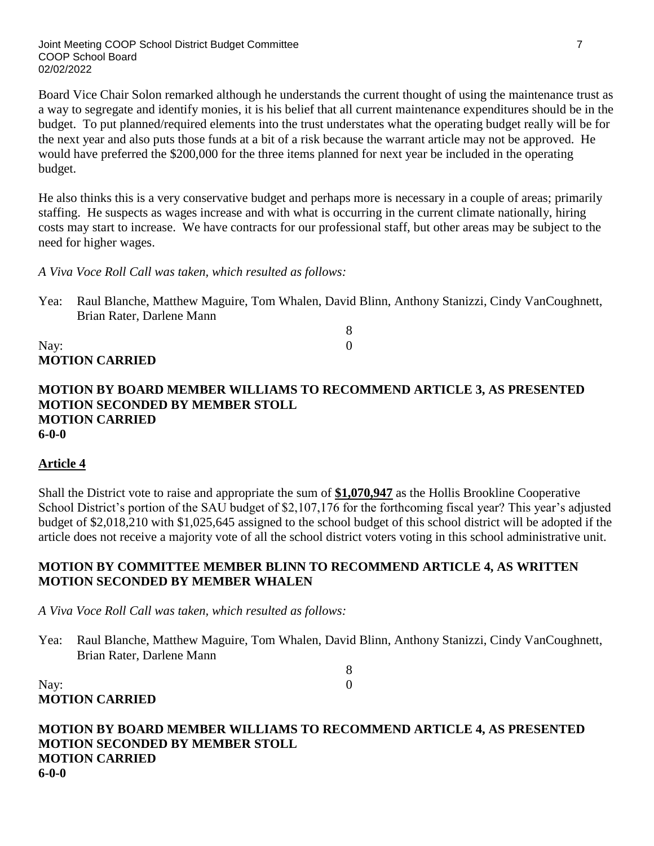Board Vice Chair Solon remarked although he understands the current thought of using the maintenance trust as a way to segregate and identify monies, it is his belief that all current maintenance expenditures should be in the budget. To put planned/required elements into the trust understates what the operating budget really will be for the next year and also puts those funds at a bit of a risk because the warrant article may not be approved. He would have preferred the \$200,000 for the three items planned for next year be included in the operating budget.

He also thinks this is a very conservative budget and perhaps more is necessary in a couple of areas; primarily staffing. He suspects as wages increase and with what is occurring in the current climate nationally, hiring costs may start to increase. We have contracts for our professional staff, but other areas may be subject to the need for higher wages.

*A Viva Voce Roll Call was taken, which resulted as follows:*

Yea: Raul Blanche, Matthew Maguire, Tom Whalen, David Blinn, Anthony Stanizzi, Cindy VanCoughnett, Brian Rater, Darlene Mann

8

Nay: 0 **MOTION CARRIED**

**MOTION BY BOARD MEMBER WILLIAMS TO RECOMMEND ARTICLE 3, AS PRESENTED MOTION SECONDED BY MEMBER STOLL MOTION CARRIED 6-0-0**

#### **Article 4**

Shall the District vote to raise and appropriate the sum of **\$1,070,947** as the Hollis Brookline Cooperative School District's portion of the SAU budget of \$2,107,176 for the forthcoming fiscal year? This year's adjusted budget of \$2,018,210 with \$1,025,645 assigned to the school budget of this school district will be adopted if the article does not receive a majority vote of all the school district voters voting in this school administrative unit.

### **MOTION BY COMMITTEE MEMBER BLINN TO RECOMMEND ARTICLE 4, AS WRITTEN MOTION SECONDED BY MEMBER WHALEN**

*A Viva Voce Roll Call was taken, which resulted as follows:*

Yea: Raul Blanche, Matthew Maguire, Tom Whalen, David Blinn, Anthony Stanizzi, Cindy VanCoughnett, Brian Rater, Darlene Mann

8

Nay: 0 **MOTION CARRIED**

**MOTION BY BOARD MEMBER WILLIAMS TO RECOMMEND ARTICLE 4, AS PRESENTED MOTION SECONDED BY MEMBER STOLL MOTION CARRIED 6-0-0**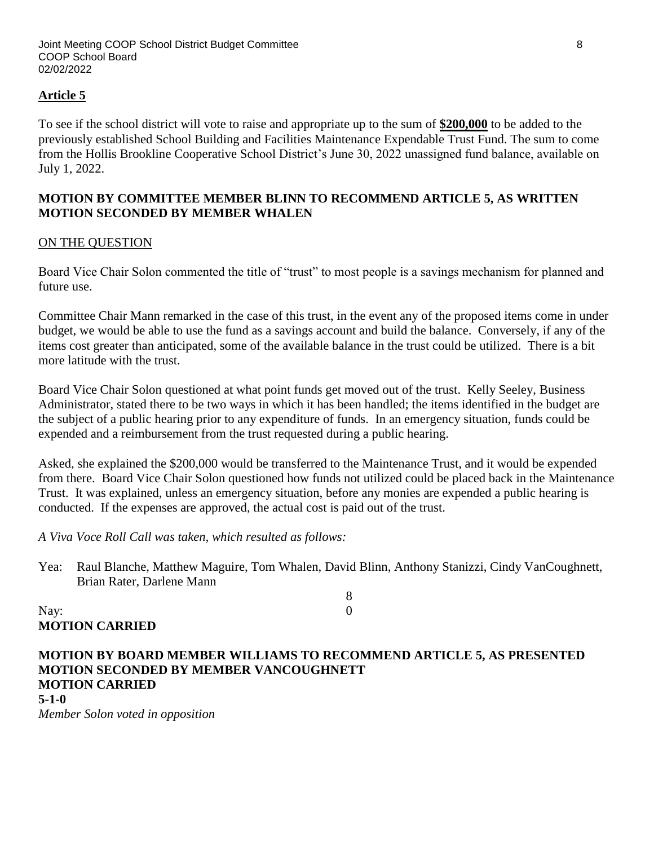### **Article 5**

To see if the school district will vote to raise and appropriate up to the sum of **\$200,000** to be added to the previously established School Building and Facilities Maintenance Expendable Trust Fund. The sum to come from the Hollis Brookline Cooperative School District's June 30, 2022 unassigned fund balance, available on July 1, 2022.

### **MOTION BY COMMITTEE MEMBER BLINN TO RECOMMEND ARTICLE 5, AS WRITTEN MOTION SECONDED BY MEMBER WHALEN**

#### ON THE QUESTION

Board Vice Chair Solon commented the title of "trust" to most people is a savings mechanism for planned and future use.

Committee Chair Mann remarked in the case of this trust, in the event any of the proposed items come in under budget, we would be able to use the fund as a savings account and build the balance. Conversely, if any of the items cost greater than anticipated, some of the available balance in the trust could be utilized. There is a bit more latitude with the trust.

Board Vice Chair Solon questioned at what point funds get moved out of the trust. Kelly Seeley, Business Administrator, stated there to be two ways in which it has been handled; the items identified in the budget are the subject of a public hearing prior to any expenditure of funds. In an emergency situation, funds could be expended and a reimbursement from the trust requested during a public hearing.

Asked, she explained the \$200,000 would be transferred to the Maintenance Trust, and it would be expended from there. Board Vice Chair Solon questioned how funds not utilized could be placed back in the Maintenance Trust. It was explained, unless an emergency situation, before any monies are expended a public hearing is conducted. If the expenses are approved, the actual cost is paid out of the trust.

*A Viva Voce Roll Call was taken, which resulted as follows:*

Yea: Raul Blanche, Matthew Maguire, Tom Whalen, David Blinn, Anthony Stanizzi, Cindy VanCoughnett, Brian Rater, Darlene Mann

8

Nay: 0 **MOTION CARRIED**

### **MOTION BY BOARD MEMBER WILLIAMS TO RECOMMEND ARTICLE 5, AS PRESENTED MOTION SECONDED BY MEMBER VANCOUGHNETT MOTION CARRIED 5-1-0**

*Member Solon voted in opposition*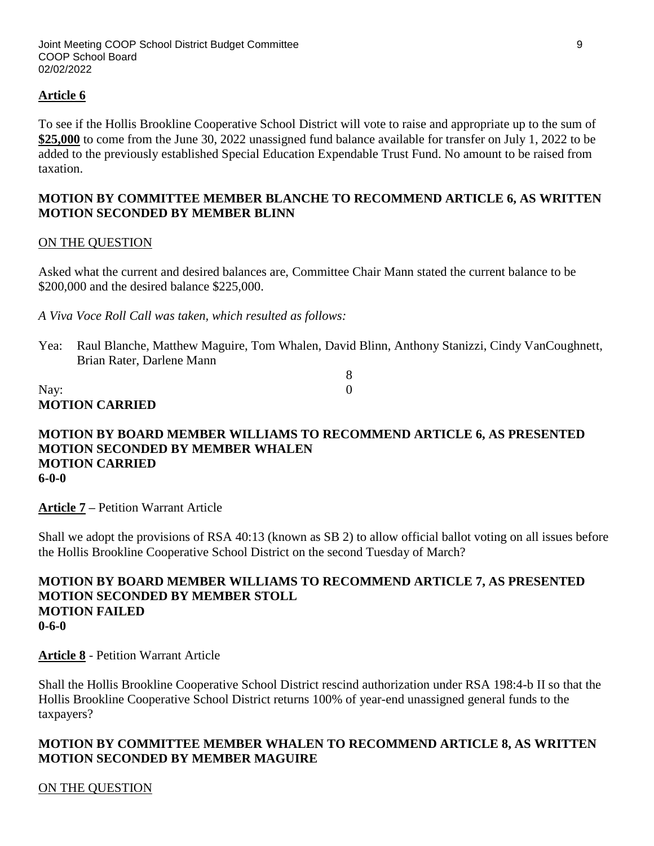### **Article 6**

To see if the Hollis Brookline Cooperative School District will vote to raise and appropriate up to the sum of **\$25,000** to come from the June 30, 2022 unassigned fund balance available for transfer on July 1, 2022 to be added to the previously established Special Education Expendable Trust Fund. No amount to be raised from taxation.

### **MOTION BY COMMITTEE MEMBER BLANCHE TO RECOMMEND ARTICLE 6, AS WRITTEN MOTION SECONDED BY MEMBER BLINN**

#### ON THE QUESTION

Asked what the current and desired balances are, Committee Chair Mann stated the current balance to be \$200,000 and the desired balance \$225,000.

*A Viva Voce Roll Call was taken, which resulted as follows:*

Yea: Raul Blanche, Matthew Maguire, Tom Whalen, David Blinn, Anthony Stanizzi, Cindy VanCoughnett, Brian Rater, Darlene Mann

8

#### Nay: 0 **MOTION CARRIED**

#### **MOTION BY BOARD MEMBER WILLIAMS TO RECOMMEND ARTICLE 6, AS PRESENTED MOTION SECONDED BY MEMBER WHALEN MOTION CARRIED 6-0-0**

**Article 7 –** Petition Warrant Article

Shall we adopt the provisions of RSA 40:13 (known as SB 2) to allow official ballot voting on all issues before the Hollis Brookline Cooperative School District on the second Tuesday of March?

#### **MOTION BY BOARD MEMBER WILLIAMS TO RECOMMEND ARTICLE 7, AS PRESENTED MOTION SECONDED BY MEMBER STOLL MOTION FAILED 0-6-0**

**Article 8** - Petition Warrant Article

Shall the Hollis Brookline Cooperative School District rescind authorization under RSA 198:4-b II so that the Hollis Brookline Cooperative School District returns 100% of year-end unassigned general funds to the taxpayers?

### **MOTION BY COMMITTEE MEMBER WHALEN TO RECOMMEND ARTICLE 8, AS WRITTEN MOTION SECONDED BY MEMBER MAGUIRE**

ON THE QUESTION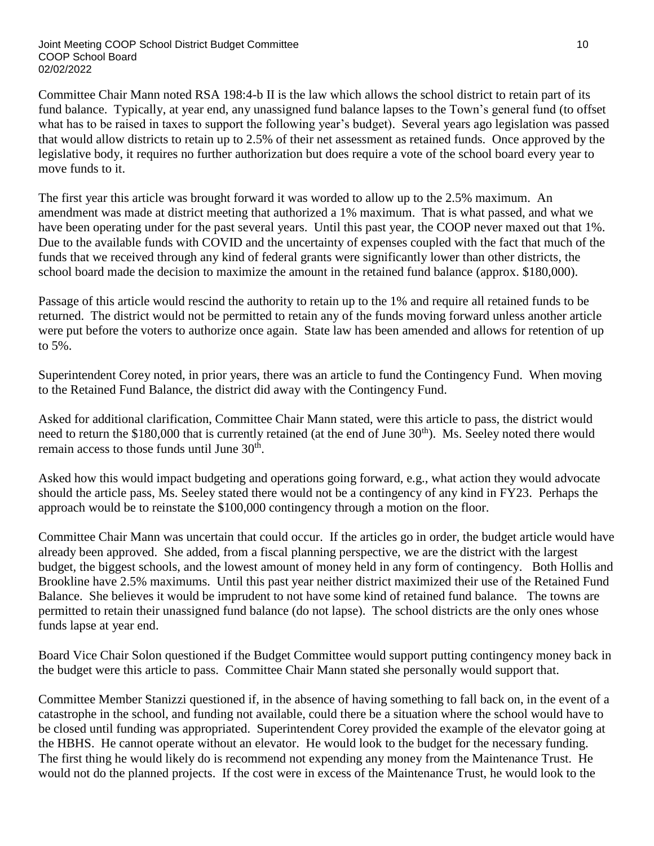Committee Chair Mann noted RSA 198:4-b II is the law which allows the school district to retain part of its fund balance. Typically, at year end, any unassigned fund balance lapses to the Town's general fund (to offset what has to be raised in taxes to support the following year's budget). Several years ago legislation was passed that would allow districts to retain up to 2.5% of their net assessment as retained funds. Once approved by the legislative body, it requires no further authorization but does require a vote of the school board every year to move funds to it.

The first year this article was brought forward it was worded to allow up to the 2.5% maximum. An amendment was made at district meeting that authorized a 1% maximum. That is what passed, and what we have been operating under for the past several years. Until this past year, the COOP never maxed out that 1%. Due to the available funds with COVID and the uncertainty of expenses coupled with the fact that much of the funds that we received through any kind of federal grants were significantly lower than other districts, the school board made the decision to maximize the amount in the retained fund balance (approx. \$180,000).

Passage of this article would rescind the authority to retain up to the 1% and require all retained funds to be returned. The district would not be permitted to retain any of the funds moving forward unless another article were put before the voters to authorize once again. State law has been amended and allows for retention of up to 5%.

Superintendent Corey noted, in prior years, there was an article to fund the Contingency Fund. When moving to the Retained Fund Balance, the district did away with the Contingency Fund.

Asked for additional clarification, Committee Chair Mann stated, were this article to pass, the district would need to return the \$180,000 that is currently retained (at the end of June 30<sup>th</sup>). Ms. Seeley noted there would remain access to those funds until June 30<sup>th</sup>.

Asked how this would impact budgeting and operations going forward, e.g., what action they would advocate should the article pass, Ms. Seeley stated there would not be a contingency of any kind in FY23. Perhaps the approach would be to reinstate the \$100,000 contingency through a motion on the floor.

Committee Chair Mann was uncertain that could occur. If the articles go in order, the budget article would have already been approved. She added, from a fiscal planning perspective, we are the district with the largest budget, the biggest schools, and the lowest amount of money held in any form of contingency. Both Hollis and Brookline have 2.5% maximums. Until this past year neither district maximized their use of the Retained Fund Balance. She believes it would be imprudent to not have some kind of retained fund balance. The towns are permitted to retain their unassigned fund balance (do not lapse). The school districts are the only ones whose funds lapse at year end.

Board Vice Chair Solon questioned if the Budget Committee would support putting contingency money back in the budget were this article to pass. Committee Chair Mann stated she personally would support that.

Committee Member Stanizzi questioned if, in the absence of having something to fall back on, in the event of a catastrophe in the school, and funding not available, could there be a situation where the school would have to be closed until funding was appropriated. Superintendent Corey provided the example of the elevator going at the HBHS. He cannot operate without an elevator. He would look to the budget for the necessary funding. The first thing he would likely do is recommend not expending any money from the Maintenance Trust. He would not do the planned projects. If the cost were in excess of the Maintenance Trust, he would look to the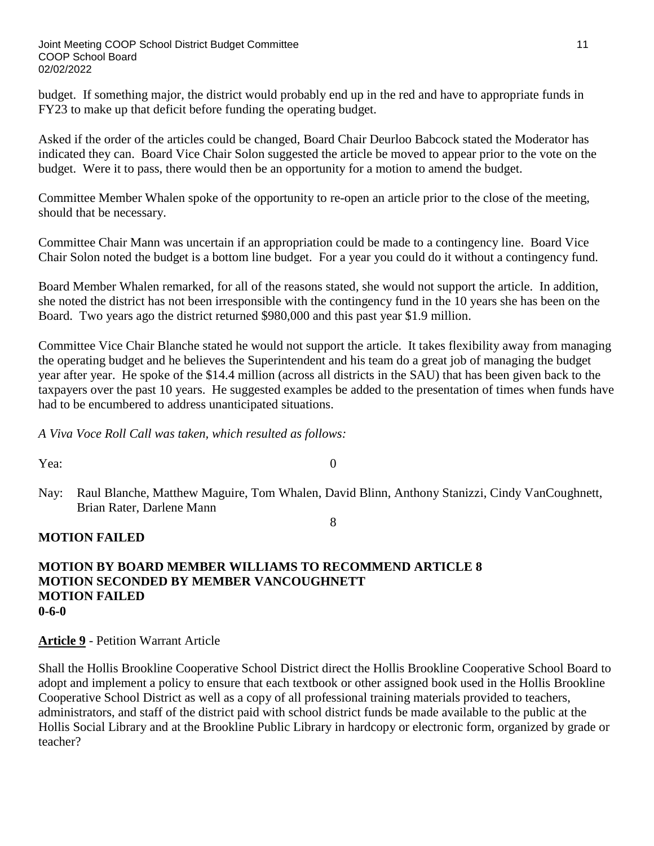budget. If something major, the district would probably end up in the red and have to appropriate funds in FY23 to make up that deficit before funding the operating budget.

Asked if the order of the articles could be changed, Board Chair Deurloo Babcock stated the Moderator has indicated they can. Board Vice Chair Solon suggested the article be moved to appear prior to the vote on the budget. Were it to pass, there would then be an opportunity for a motion to amend the budget.

Committee Member Whalen spoke of the opportunity to re-open an article prior to the close of the meeting, should that be necessary.

Committee Chair Mann was uncertain if an appropriation could be made to a contingency line. Board Vice Chair Solon noted the budget is a bottom line budget. For a year you could do it without a contingency fund.

Board Member Whalen remarked, for all of the reasons stated, she would not support the article. In addition, she noted the district has not been irresponsible with the contingency fund in the 10 years she has been on the Board. Two years ago the district returned \$980,000 and this past year \$1.9 million.

Committee Vice Chair Blanche stated he would not support the article. It takes flexibility away from managing the operating budget and he believes the Superintendent and his team do a great job of managing the budget year after year. He spoke of the \$14.4 million (across all districts in the SAU) that has been given back to the taxpayers over the past 10 years. He suggested examples be added to the presentation of times when funds have had to be encumbered to address unanticipated situations.

*A Viva Voce Roll Call was taken, which resulted as follows:*

Yea: 0

- 
- Nay: Raul Blanche, Matthew Maguire, Tom Whalen, David Blinn, Anthony Stanizzi, Cindy VanCoughnett, Brian Rater, Darlene Mann

#### 8

# **MOTION FAILED**

#### **MOTION BY BOARD MEMBER WILLIAMS TO RECOMMEND ARTICLE 8 MOTION SECONDED BY MEMBER VANCOUGHNETT MOTION FAILED 0-6-0**

**Article 9** - Petition Warrant Article

Shall the Hollis Brookline Cooperative School District direct the Hollis Brookline Cooperative School Board to adopt and implement a policy to ensure that each textbook or other assigned book used in the Hollis Brookline Cooperative School District as well as a copy of all professional training materials provided to teachers, administrators, and staff of the district paid with school district funds be made available to the public at the Hollis Social Library and at the Brookline Public Library in hardcopy or electronic form, organized by grade or teacher?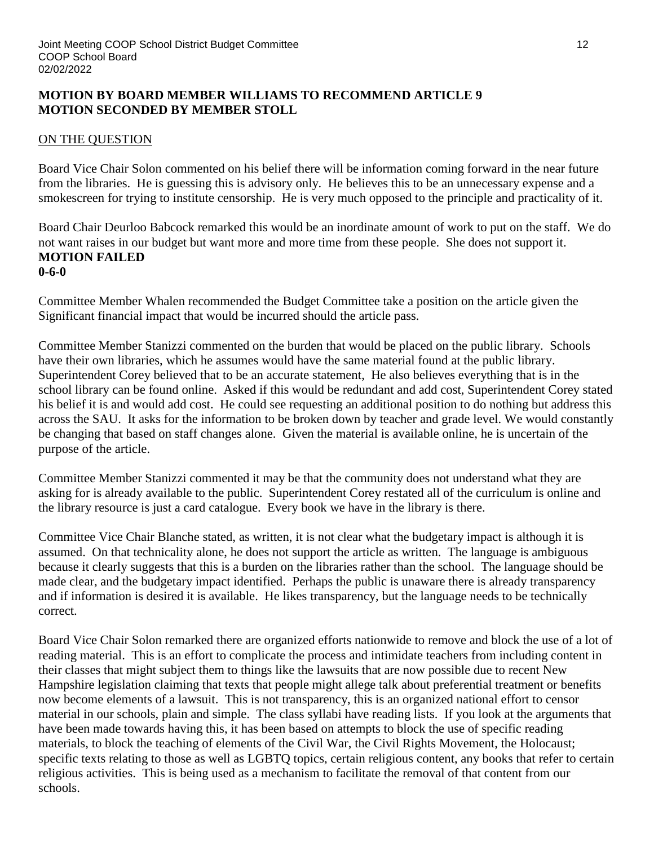### **MOTION BY BOARD MEMBER WILLIAMS TO RECOMMEND ARTICLE 9 MOTION SECONDED BY MEMBER STOLL**

### ON THE QUESTION

Board Vice Chair Solon commented on his belief there will be information coming forward in the near future from the libraries. He is guessing this is advisory only. He believes this to be an unnecessary expense and a smokescreen for trying to institute censorship. He is very much opposed to the principle and practicality of it.

Board Chair Deurloo Babcock remarked this would be an inordinate amount of work to put on the staff. We do not want raises in our budget but want more and more time from these people. She does not support it. **MOTION FAILED 0-6-0**

Committee Member Whalen recommended the Budget Committee take a position on the article given the Significant financial impact that would be incurred should the article pass.

Committee Member Stanizzi commented on the burden that would be placed on the public library. Schools have their own libraries, which he assumes would have the same material found at the public library. Superintendent Corey believed that to be an accurate statement, He also believes everything that is in the school library can be found online. Asked if this would be redundant and add cost, Superintendent Corey stated his belief it is and would add cost. He could see requesting an additional position to do nothing but address this across the SAU. It asks for the information to be broken down by teacher and grade level. We would constantly be changing that based on staff changes alone. Given the material is available online, he is uncertain of the purpose of the article.

Committee Member Stanizzi commented it may be that the community does not understand what they are asking for is already available to the public. Superintendent Corey restated all of the curriculum is online and the library resource is just a card catalogue. Every book we have in the library is there.

Committee Vice Chair Blanche stated, as written, it is not clear what the budgetary impact is although it is assumed. On that technicality alone, he does not support the article as written. The language is ambiguous because it clearly suggests that this is a burden on the libraries rather than the school. The language should be made clear, and the budgetary impact identified. Perhaps the public is unaware there is already transparency and if information is desired it is available. He likes transparency, but the language needs to be technically correct.

Board Vice Chair Solon remarked there are organized efforts nationwide to remove and block the use of a lot of reading material. This is an effort to complicate the process and intimidate teachers from including content in their classes that might subject them to things like the lawsuits that are now possible due to recent New Hampshire legislation claiming that texts that people might allege talk about preferential treatment or benefits now become elements of a lawsuit. This is not transparency, this is an organized national effort to censor material in our schools, plain and simple. The class syllabi have reading lists. If you look at the arguments that have been made towards having this, it has been based on attempts to block the use of specific reading materials, to block the teaching of elements of the Civil War, the Civil Rights Movement, the Holocaust; specific texts relating to those as well as LGBTQ topics, certain religious content, any books that refer to certain religious activities. This is being used as a mechanism to facilitate the removal of that content from our schools.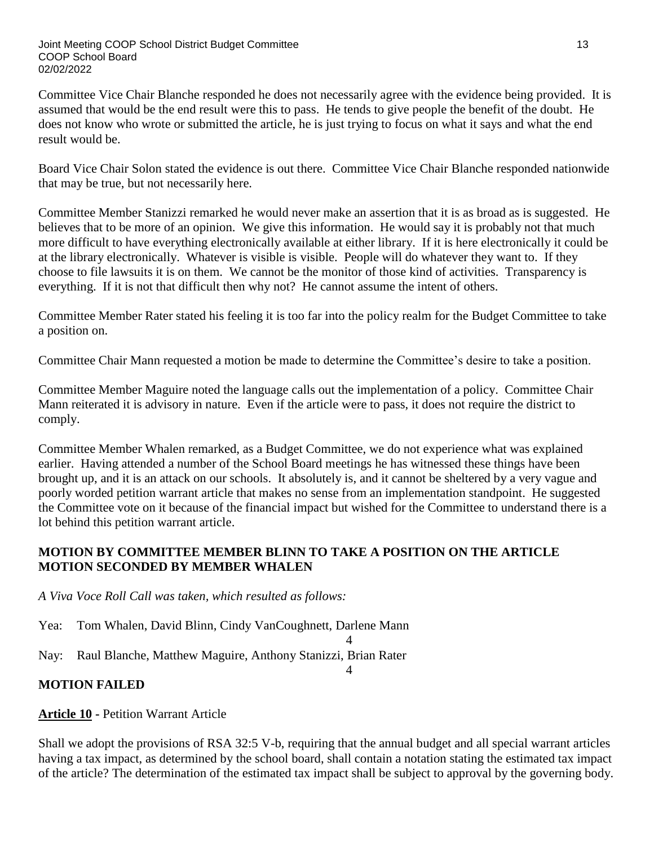Committee Vice Chair Blanche responded he does not necessarily agree with the evidence being provided. It is assumed that would be the end result were this to pass. He tends to give people the benefit of the doubt. He does not know who wrote or submitted the article, he is just trying to focus on what it says and what the end result would be.

Board Vice Chair Solon stated the evidence is out there. Committee Vice Chair Blanche responded nationwide that may be true, but not necessarily here.

Committee Member Stanizzi remarked he would never make an assertion that it is as broad as is suggested. He believes that to be more of an opinion. We give this information. He would say it is probably not that much more difficult to have everything electronically available at either library. If it is here electronically it could be at the library electronically. Whatever is visible is visible. People will do whatever they want to. If they choose to file lawsuits it is on them. We cannot be the monitor of those kind of activities. Transparency is everything. If it is not that difficult then why not? He cannot assume the intent of others.

Committee Member Rater stated his feeling it is too far into the policy realm for the Budget Committee to take a position on.

Committee Chair Mann requested a motion be made to determine the Committee's desire to take a position.

Committee Member Maguire noted the language calls out the implementation of a policy. Committee Chair Mann reiterated it is advisory in nature. Even if the article were to pass, it does not require the district to comply.

Committee Member Whalen remarked, as a Budget Committee, we do not experience what was explained earlier. Having attended a number of the School Board meetings he has witnessed these things have been brought up, and it is an attack on our schools. It absolutely is, and it cannot be sheltered by a very vague and poorly worded petition warrant article that makes no sense from an implementation standpoint. He suggested the Committee vote on it because of the financial impact but wished for the Committee to understand there is a lot behind this petition warrant article.

# **MOTION BY COMMITTEE MEMBER BLINN TO TAKE A POSITION ON THE ARTICLE MOTION SECONDED BY MEMBER WHALEN**

*A Viva Voce Roll Call was taken, which resulted as follows:*

Yea: Tom Whalen, David Blinn, Cindy VanCoughnett, Darlene Mann

4 Nay: Raul Blanche, Matthew Maguire, Anthony Stanizzi, Brian Rater

#### 4

# **MOTION FAILED**

**Article 10 -** Petition Warrant Article

Shall we adopt the provisions of RSA 32:5 V-b, requiring that the annual budget and all special warrant articles having a tax impact, as determined by the school board, shall contain a notation stating the estimated tax impact of the article? The determination of the estimated tax impact shall be subject to approval by the governing body.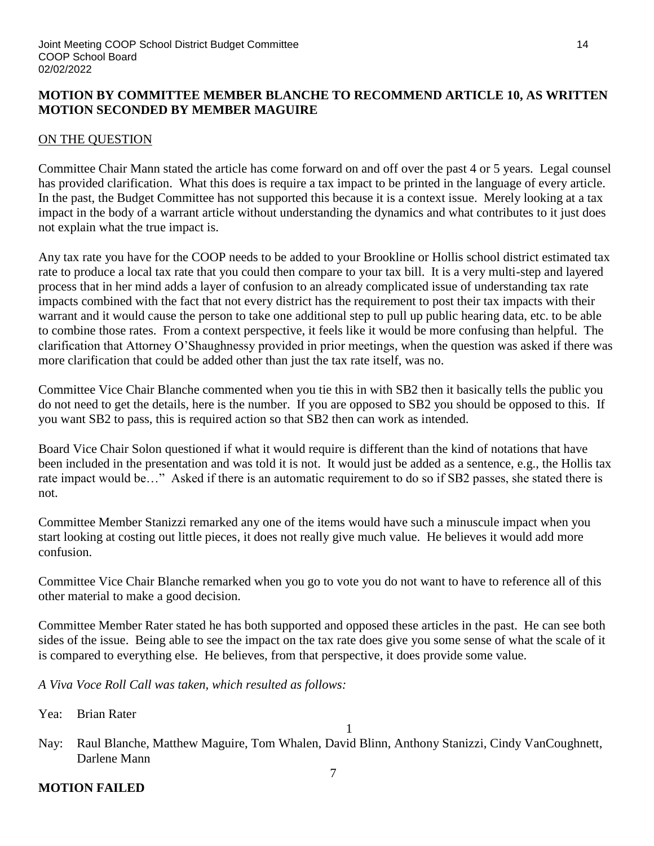### **MOTION BY COMMITTEE MEMBER BLANCHE TO RECOMMEND ARTICLE 10, AS WRITTEN MOTION SECONDED BY MEMBER MAGUIRE**

### ON THE QUESTION

Committee Chair Mann stated the article has come forward on and off over the past 4 or 5 years. Legal counsel has provided clarification. What this does is require a tax impact to be printed in the language of every article. In the past, the Budget Committee has not supported this because it is a context issue. Merely looking at a tax impact in the body of a warrant article without understanding the dynamics and what contributes to it just does not explain what the true impact is.

Any tax rate you have for the COOP needs to be added to your Brookline or Hollis school district estimated tax rate to produce a local tax rate that you could then compare to your tax bill. It is a very multi-step and layered process that in her mind adds a layer of confusion to an already complicated issue of understanding tax rate impacts combined with the fact that not every district has the requirement to post their tax impacts with their warrant and it would cause the person to take one additional step to pull up public hearing data, etc. to be able to combine those rates. From a context perspective, it feels like it would be more confusing than helpful. The clarification that Attorney O'Shaughnessy provided in prior meetings, when the question was asked if there was more clarification that could be added other than just the tax rate itself, was no.

Committee Vice Chair Blanche commented when you tie this in with SB2 then it basically tells the public you do not need to get the details, here is the number. If you are opposed to SB2 you should be opposed to this. If you want SB2 to pass, this is required action so that SB2 then can work as intended.

Board Vice Chair Solon questioned if what it would require is different than the kind of notations that have been included in the presentation and was told it is not. It would just be added as a sentence, e.g., the Hollis tax rate impact would be…" Asked if there is an automatic requirement to do so if SB2 passes, she stated there is not.

Committee Member Stanizzi remarked any one of the items would have such a minuscule impact when you start looking at costing out little pieces, it does not really give much value. He believes it would add more confusion.

Committee Vice Chair Blanche remarked when you go to vote you do not want to have to reference all of this other material to make a good decision.

Committee Member Rater stated he has both supported and opposed these articles in the past. He can see both sides of the issue. Being able to see the impact on the tax rate does give you some sense of what the scale of it is compared to everything else. He believes, from that perspective, it does provide some value.

*A Viva Voce Roll Call was taken, which resulted as follows:*

Yea: Brian Rater

1

Nay: Raul Blanche, Matthew Maguire, Tom Whalen, David Blinn, Anthony Stanizzi, Cindy VanCoughnett, Darlene Mann 7

# **MOTION FAILED**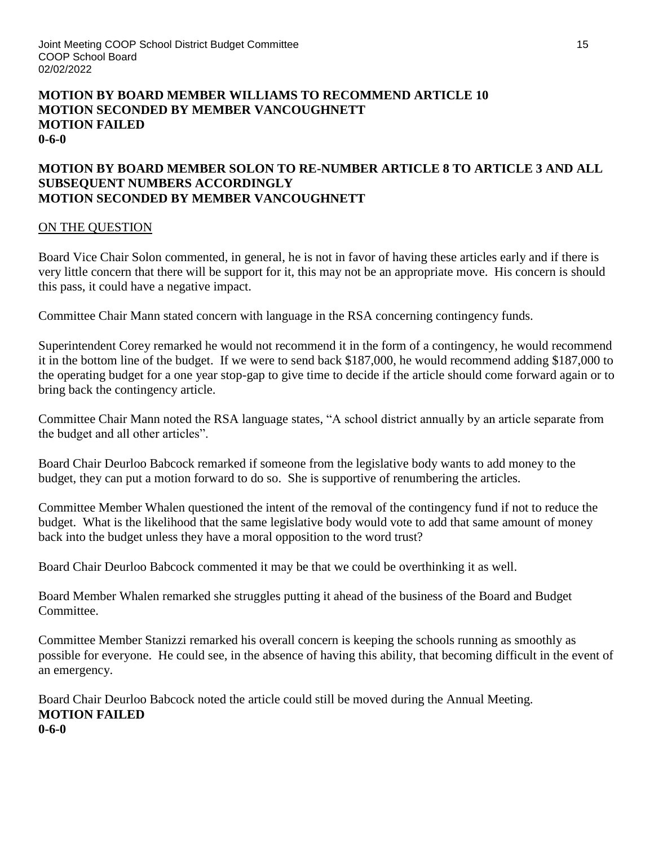#### **MOTION BY BOARD MEMBER WILLIAMS TO RECOMMEND ARTICLE 10 MOTION SECONDED BY MEMBER VANCOUGHNETT MOTION FAILED 0-6-0**

### **MOTION BY BOARD MEMBER SOLON TO RE-NUMBER ARTICLE 8 TO ARTICLE 3 AND ALL SUBSEQUENT NUMBERS ACCORDINGLY MOTION SECONDED BY MEMBER VANCOUGHNETT**

### ON THE QUESTION

Board Vice Chair Solon commented, in general, he is not in favor of having these articles early and if there is very little concern that there will be support for it, this may not be an appropriate move. His concern is should this pass, it could have a negative impact.

Committee Chair Mann stated concern with language in the RSA concerning contingency funds.

Superintendent Corey remarked he would not recommend it in the form of a contingency, he would recommend it in the bottom line of the budget. If we were to send back \$187,000, he would recommend adding \$187,000 to the operating budget for a one year stop-gap to give time to decide if the article should come forward again or to bring back the contingency article.

Committee Chair Mann noted the RSA language states, "A school district annually by an article separate from the budget and all other articles".

Board Chair Deurloo Babcock remarked if someone from the legislative body wants to add money to the budget, they can put a motion forward to do so. She is supportive of renumbering the articles.

Committee Member Whalen questioned the intent of the removal of the contingency fund if not to reduce the budget. What is the likelihood that the same legislative body would vote to add that same amount of money back into the budget unless they have a moral opposition to the word trust?

Board Chair Deurloo Babcock commented it may be that we could be overthinking it as well.

Board Member Whalen remarked she struggles putting it ahead of the business of the Board and Budget Committee.

Committee Member Stanizzi remarked his overall concern is keeping the schools running as smoothly as possible for everyone. He could see, in the absence of having this ability, that becoming difficult in the event of an emergency.

Board Chair Deurloo Babcock noted the article could still be moved during the Annual Meeting. **MOTION FAILED 0-6-0**